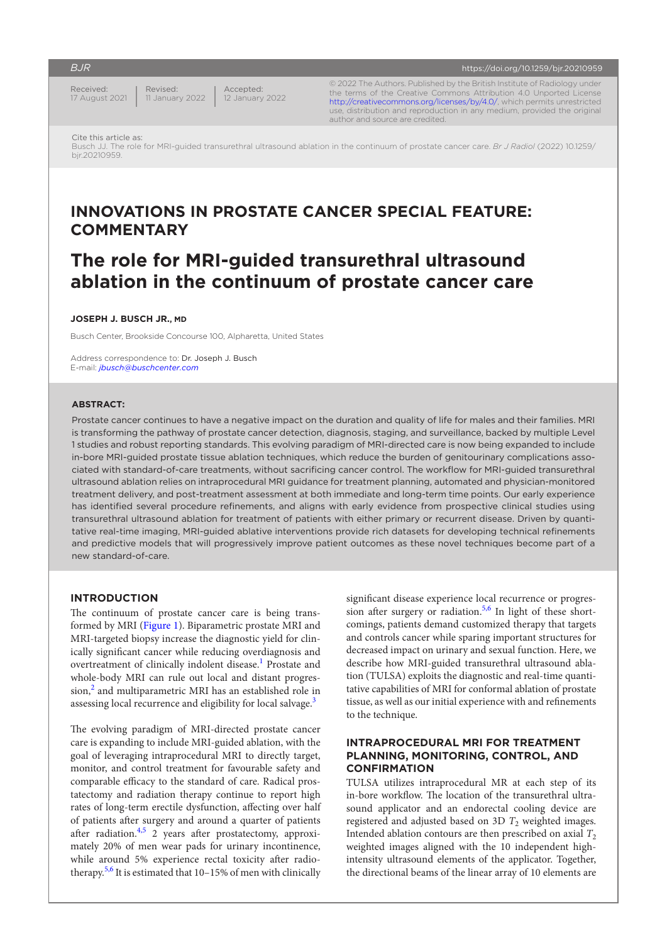Received: 17 August 2021 Revised: 11 January 2022

Accepted: 12 January 2022 © 2022 The Authors. Published by the British Institute of Radiology under the terms of the Creative Commons Attribution 4.0 Unported License <http://creativecommons.org/licenses/by/4.0/>, which permits unrestricted

<https://doi.org/10.1259/bjr.20210959>

use, distribution and reproduction in any medium, provided the original

Cite this article as: Busch JJ. The role for MRI-guided transurethral ultrasound ablation in the continuum of prostate cancer care. *Br J Radiol* (2022) 10.1259/ bjr.20210959.

author and source are credited.

## **INNOVATIONS IN PROSTATE CANCER SPECIAL FEATURE: COMMENTARY**

# **The role for MRI-guided transurethral ultrasound ablation in the continuum of prostate cancer care**

#### **JOSEPH J. BUSCH JR., MD**

Busch Center, Brookside Concourse 100, Alpharetta, United States

Address correspondence to: Dr. Joseph J. Busch E-mail: *[jbusch@buschcenter.com](mailto:jbusch@buschcenter.com)*

#### **ABSTRACT:**

Prostate cancer continues to have a negative impact on the duration and quality of life for males and their families. MRI is transforming the pathway of prostate cancer detection, diagnosis, staging, and surveillance, backed by multiple Level 1 studies and robust reporting standards. This evolving paradigm of MRI-directed care is now being expanded to include in-bore MRI-guided prostate tissue ablation techniques, which reduce the burden of genitourinary complications associated with standard-of-care treatments, without sacrificing cancer control. The workflow for MRI-guided transurethral ultrasound ablation relies on intraprocedural MRI guidance for treatment planning, automated and physician-monitored treatment delivery, and post-treatment assessment at both immediate and long-term time points. Our early experience has identified several procedure refinements, and aligns with early evidence from prospective clinical studies using transurethral ultrasound ablation for treatment of patients with either primary or recurrent disease. Driven by quantitative real-time imaging, MRI-guided ablative interventions provide rich datasets for developing technical refinements and predictive models that will progressively improve patient outcomes as these novel techniques become part of a new standard-of-care.

#### **INTRODUCTION**

The continuum of prostate cancer care is being transformed by MRI ([Figure 1](#page-1-0)). Biparametric prostate MRI and MRI-targeted biopsy increase the diagnostic yield for clinically significant cancer while reducing overdiagnosis and overtreatment of clinically indolent disease.<sup>[1](#page-4-0)</sup> Prostate and whole-body MRI can rule out local and distant progression,<sup>2</sup> and multiparametric MRI has an established role in assessing local recurrence and eligibility for local salvage.<sup>[3](#page-4-2)</sup>

The evolving paradigm of MRI-directed prostate cancer care is expanding to include MRI-guided ablation, with the goal of leveraging intraprocedural MRI to directly target, monitor, and control treatment for favourable safety and comparable efficacy to the standard of care. Radical prostatectomy and radiation therapy continue to report high rates of long-term erectile dysfunction, affecting over half of patients after surgery and around a quarter of patients after radiation.<sup>[4,5](#page-4-3)</sup> 2 years after prostatectomy, approximately 20% of men wear pads for urinary incontinence, while around 5% experience rectal toxicity after radio-therapy.<sup>[5,6](#page-4-4)</sup> It is estimated that  $10-15%$  of men with clinically significant disease experience local recurrence or progres-sion after surgery or radiation.<sup>[5,6](#page-4-4)</sup> In light of these shortcomings, patients demand customized therapy that targets and controls cancer while sparing important structures for decreased impact on urinary and sexual function. Here, we describe how MRI-guided transurethral ultrasound ablation (TULSA) exploits the diagnostic and real-time quantitative capabilities of MRI for conformal ablation of prostate tissue, as well as our initial experience with and refinements to the technique.

## **INTRAPROCEDURAL MRI FOR TREATMENT PLANNING, MONITORING, CONTROL, AND CONFIRMATION**

TULSA utilizes intraprocedural MR at each step of its in-bore workflow. The location of the transurethral ultrasound applicator and an endorectal cooling device are registered and adjusted based on  $3D$   $T_2$  weighted images. Intended ablation contours are then prescribed on axial  $T_2$ weighted images aligned with the 10 independent highintensity ultrasound elements of the applicator. Together, the directional beams of the linear array of 10 elements are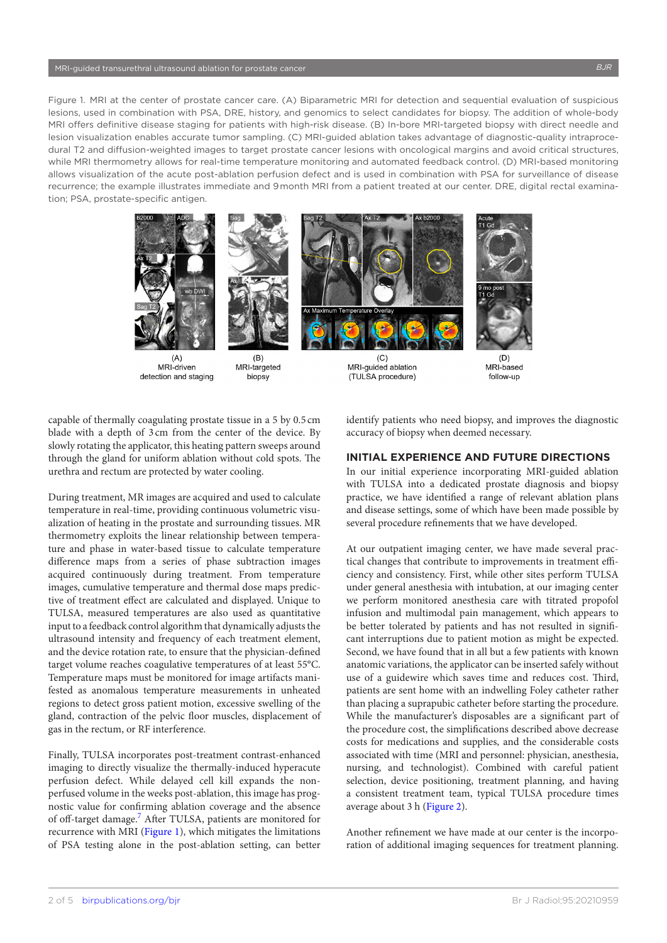<span id="page-1-0"></span>Figure 1. MRI at the center of prostate cancer care. (A) Biparametric MRI for detection and sequential evaluation of suspicious lesions, used in combination with PSA, DRE, history, and genomics to select candidates for biopsy. The addition of whole-body MRI offers definitive disease staging for patients with high-risk disease. (B) In-bore MRI-targeted biopsy with direct needle and lesion visualization enables accurate tumor sampling. (C) MRI-guided ablation takes advantage of diagnostic-quality intraprocedural T2 and diffusion-weighted images to target prostate cancer lesions with oncological margins and avoid critical structures, while MRI thermometry allows for real-time temperature monitoring and automated feedback control. (D) MRI-based monitoring allows visualization of the acute post-ablation perfusion defect and is used in combination with PSA for surveillance of disease recurrence; the example illustrates immediate and 9 month MRI from a patient treated at our center. DRE, digital rectal examination; PSA, prostate-specific antigen.



 $(A)$ MRI-driven detection and staging



MRI-targeted biopsy



 $(C)$ MRI-quided ablation (TULSA procedure)



 $(D)$ MRI-based follow-up

capable of thermally coagulating prostate tissue in a 5 by 0.5 cm blade with a depth of 3 cm from the center of the device. By slowly rotating the applicator, this heating pattern sweeps around through the gland for uniform ablation without cold spots. The urethra and rectum are protected by water cooling.

During treatment, MR images are acquired and used to calculate temperature in real-time, providing continuous volumetric visualization of heating in the prostate and surrounding tissues. MR thermometry exploits the linear relationship between temperature and phase in water-based tissue to calculate temperature difference maps from a series of phase subtraction images acquired continuously during treatment. From temperature images, cumulative temperature and thermal dose maps predictive of treatment effect are calculated and displayed. Unique to TULSA, measured temperatures are also used as quantitative input to a feedback control algorithm that dynamically adjusts the ultrasound intensity and frequency of each treatment element, and the device rotation rate, to ensure that the physician-defined target volume reaches coagulative temperatures of at least 55°C. Temperature maps must be monitored for image artifacts manifested as anomalous temperature measurements in unheated regions to detect gross patient motion, excessive swelling of the gland, contraction of the pelvic floor muscles, displacement of gas in the rectum, or RF interference.

Finally, TULSA incorporates post-treatment contrast-enhanced imaging to directly visualize the thermally-induced hyperacute perfusion defect. While delayed cell kill expands the nonperfused volume in the weeks post-ablation, this image has prognostic value for confirming ablation coverage and the absence of off-target damage.<sup>[7](#page-4-5)</sup> After TULSA, patients are monitored for recurrence with MRI ([Figure 1](#page-1-0)), which mitigates the limitations of PSA testing alone in the post-ablation setting, can better

identify patients who need biopsy, and improves the diagnostic accuracy of biopsy when deemed necessary.

## **INITIAL EXPERIENCE AND FUTURE DIRECTIONS**

In our initial experience incorporating MRI-guided ablation with TULSA into a dedicated prostate diagnosis and biopsy practice, we have identified a range of relevant ablation plans and disease settings, some of which have been made possible by several procedure refinements that we have developed.

At our outpatient imaging center, we have made several practical changes that contribute to improvements in treatment efficiency and consistency. First, while other sites perform TULSA under general anesthesia with intubation, at our imaging center we perform monitored anesthesia care with titrated propofol infusion and multimodal pain management, which appears to be better tolerated by patients and has not resulted in significant interruptions due to patient motion as might be expected. Second, we have found that in all but a few patients with known anatomic variations, the applicator can be inserted safely without use of a guidewire which saves time and reduces cost. Third, patients are sent home with an indwelling Foley catheter rather than placing a suprapubic catheter before starting the procedure. While the manufacturer's disposables are a significant part of the procedure cost, the simplifications described above decrease costs for medications and supplies, and the considerable costs associated with time (MRI and personnel: physician, anesthesia, nursing, and technologist). Combined with careful patient selection, device positioning, treatment planning, and having a consistent treatment team, typical TULSA procedure times average about 3 h ([Figure 2\)](#page-2-0).

Another refinement we have made at our center is the incorporation of additional imaging sequences for treatment planning.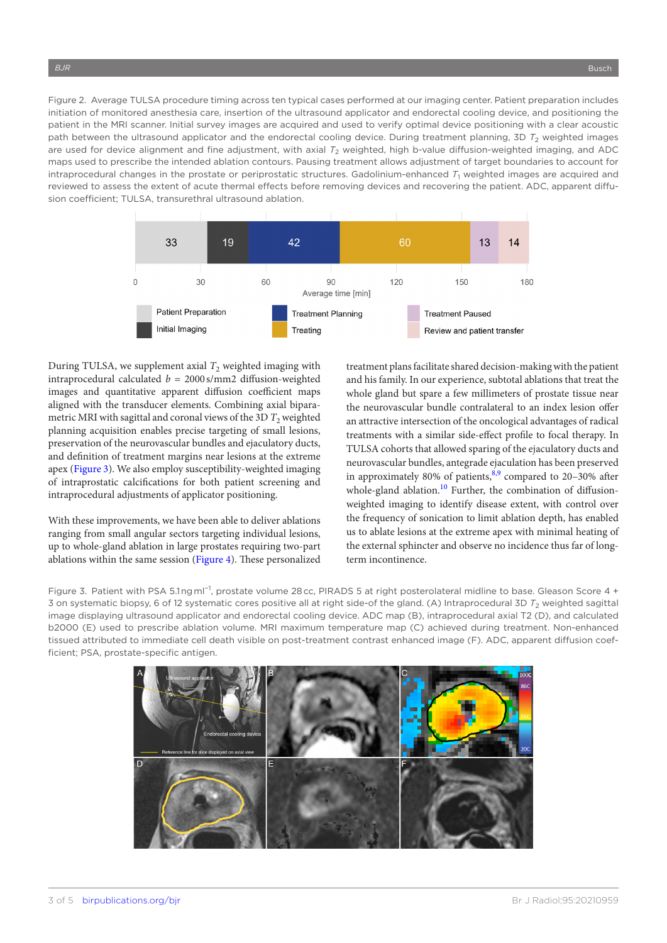<span id="page-2-0"></span>Figure 2. Average TULSA procedure timing across ten typical cases performed at our imaging center. Patient preparation includes initiation of monitored anesthesia care, insertion of the ultrasound applicator and endorectal cooling device, and positioning the patient in the MRI scanner. Initial survey images are acquired and used to verify optimal device positioning with a clear acoustic path between the ultrasound applicator and the endorectal cooling device. During treatment planning, 3D  $T_2$  weighted images are used for device alignment and fine adjustment, with axial  $T_2$  weighted, high b-value diffusion-weighted imaging, and ADC maps used to prescribe the intended ablation contours. Pausing treatment allows adjustment of target boundaries to account for intraprocedural changes in the prostate or periprostatic structures. Gadolinium-enhanced  $T_1$  weighted images are acquired and reviewed to assess the extent of acute thermal effects before removing devices and recovering the patient. ADC, apparent diffusion coefficient; TULSA, transurethral ultrasound ablation.



During TULSA, we supplement axial  $T_2$  weighted imaging with intraprocedural calculated  $b = 2000$  s/mm2 diffusion-weighted images and quantitative apparent diffusion coefficient maps aligned with the transducer elements. Combining axial biparametric MRI with sagittal and coronal views of the 3D  $T<sub>2</sub>$  weighted planning acquisition enables precise targeting of small lesions, preservation of the neurovascular bundles and ejaculatory ducts, and definition of treatment margins near lesions at the extreme apex ([Figure 3\)](#page-2-1). We also employ susceptibility-weighted imaging of intraprostatic calcifications for both patient screening and intraprocedural adjustments of applicator positioning.

With these improvements, we have been able to deliver ablations ranging from small angular sectors targeting individual lesions, up to whole-gland ablation in large prostates requiring two-part ablations within the same session ([Figure 4](#page-3-0)). These personalized treatment plans facilitate shared decision-making with the patient and his family. In our experience, subtotal ablations that treat the whole gland but spare a few millimeters of prostate tissue near the neurovascular bundle contralateral to an index lesion offer an attractive intersection of the oncological advantages of radical treatments with a similar side-effect profile to focal therapy. In TULSA cohorts that allowed sparing of the ejaculatory ducts and neurovascular bundles, antegrade ejaculation has been preserved in approximately 80% of patients, $8,9$  compared to 20–30% after whole-gland ablation. $10$  Further, the combination of diffusionweighted imaging to identify disease extent, with control over the frequency of sonication to limit ablation depth, has enabled us to ablate lesions at the extreme apex with minimal heating of the external sphincter and observe no incidence thus far of longterm incontinence.

<span id="page-2-1"></span>Figure 3. Patient with PSA 5.1 ng ml−1, prostate volume 28 cc, PIRADS 5 at right posterolateral midline to base. Gleason Score 4 + 3 on systematic biopsy, 6 of 12 systematic cores positive all at right side-of the gland. (A) Intraprocedural 3D  $T_2$  weighted sagittal image displaying ultrasound applicator and endorectal cooling device. ADC map (B), intraprocedural axial T2 (D), and calculated b2000 (E) used to prescribe ablation volume. MRI maximum temperature map (C) achieved during treatment. Non-enhanced tissued attributed to immediate cell death visible on post-treatment contrast enhanced image (F). ADC, apparent diffusion coefficient; PSA, prostate-specific antigen.

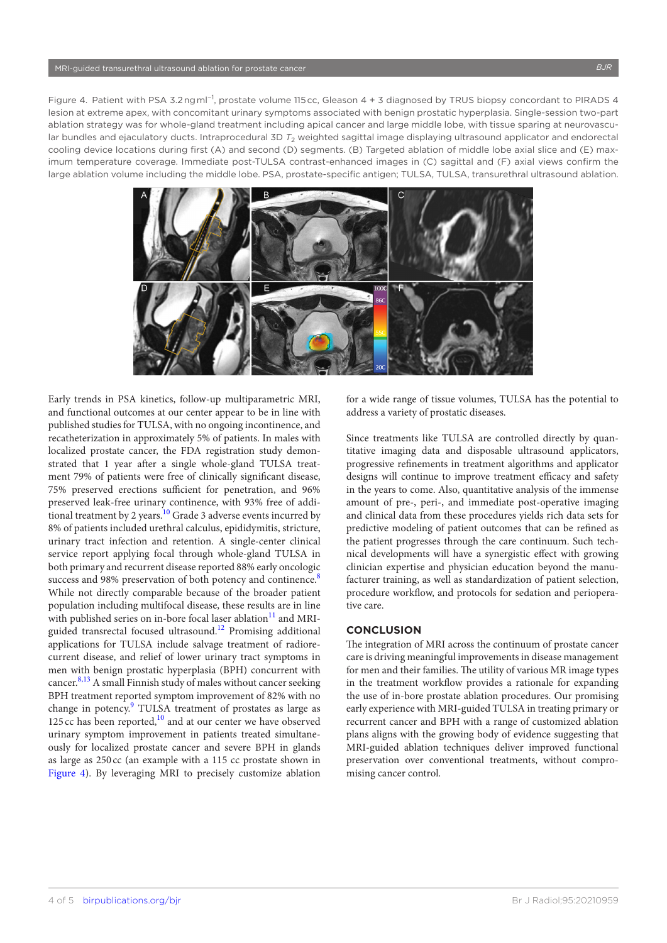<span id="page-3-0"></span>Figure 4. Patient with PSA 3.2 ng ml−1, prostate volume 115 cc, Gleason 4 + 3 diagnosed by TRUS biopsy concordant to PIRADS 4 lesion at extreme apex, with concomitant urinary symptoms associated with benign prostatic hyperplasia. Single-session two-part ablation strategy was for whole-gland treatment including apical cancer and large middle lobe, with tissue sparing at neurovascular bundles and ejaculatory ducts. Intraprocedural 3D  $T_2$  weighted sagittal image displaying ultrasound applicator and endorectal cooling device locations during first (A) and second (D) segments. (B) Targeted ablation of middle lobe axial slice and (E) maximum temperature coverage. Immediate post-TULSA contrast-enhanced images in (C) sagittal and (F) axial views confirm the large ablation volume including the middle lobe. PSA, prostate-specific antigen; TULSA, TULSA, transurethral ultrasound ablation.



Early trends in PSA kinetics, follow-up multiparametric MRI, and functional outcomes at our center appear to be in line with published studies for TULSA, with no ongoing incontinence, and recatheterization in approximately 5% of patients. In males with localized prostate cancer, the FDA registration study demonstrated that 1 year after a single whole-gland TULSA treatment 79% of patients were free of clinically significant disease, 75% preserved erections sufficient for penetration, and 96% preserved leak-free urinary continence, with 93% free of additional treatment by 2 years.<sup>10</sup> Grade 3 adverse events incurred by 8% of patients included urethral calculus, epididymitis, stricture, urinary tract infection and retention. A single-center clinical service report applying focal through whole-gland TULSA in both primary and recurrent disease reported 88% early oncologic success and 9[8](#page-4-6)% preservation of both potency and continence.<sup>8</sup> While not directly comparable because of the broader patient population including multifocal disease, these results are in line with published series on in-bore focal laser ablation<sup>[11](#page-4-8)</sup> and MRIguided transrectal focused ultrasound.[12](#page-4-9) Promising additional applications for TULSA include salvage treatment of radiorecurrent disease, and relief of lower urinary tract symptoms in men with benign prostatic hyperplasia (BPH) concurrent with cancer. $8,13$  A small Finnish study of males without cancer seeking BPH treatment reported symptom improvement of 82% with no change in potency.<sup>[9](#page-4-10)</sup> TULSA treatment of prostates as large as 125 cc has been reported, $\frac{10}{10}$  and at our center we have observed urinary symptom improvement in patients treated simultaneously for localized prostate cancer and severe BPH in glands as large as 250 cc (an example with a 115 cc prostate shown in [Figure 4](#page-3-0)). By leveraging MRI to precisely customize ablation

for a wide range of tissue volumes, TULSA has the potential to address a variety of prostatic diseases.

Since treatments like TULSA are controlled directly by quantitative imaging data and disposable ultrasound applicators, progressive refinements in treatment algorithms and applicator designs will continue to improve treatment efficacy and safety in the years to come. Also, quantitative analysis of the immense amount of pre-, peri-, and immediate post-operative imaging and clinical data from these procedures yields rich data sets for predictive modeling of patient outcomes that can be refined as the patient progresses through the care continuum. Such technical developments will have a synergistic effect with growing clinician expertise and physician education beyond the manufacturer training, as well as standardization of patient selection, procedure workflow, and protocols for sedation and perioperative care.

## **CONCLUSION**

The integration of MRI across the continuum of prostate cancer care is driving meaningful improvements in disease management for men and their families. The utility of various MR image types in the treatment workflow provides a rationale for expanding the use of in-bore prostate ablation procedures. Our promising early experience with MRI-guided TULSA in treating primary or recurrent cancer and BPH with a range of customized ablation plans aligns with the growing body of evidence suggesting that MRI-guided ablation techniques deliver improved functional preservation over conventional treatments, without compromising cancer control.